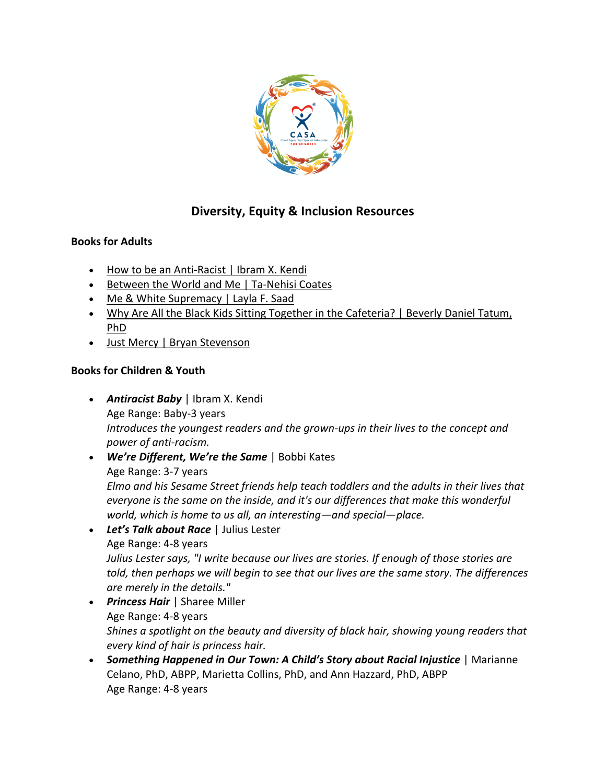

## **Diversity, Equity & Inclusion Resources**

## **Books for Adults**

- How to be an Anti-Racist | Ibram X. Kendi
- Between the World and Me | Ta-Nehisi Coates
- Me & White Supremacy | Layla F. Saad
- Why Are All the Black Kids Sitting Together in the Cafeteria? | Beverly Daniel Tatum, PhD
- Just Mercy | Bryan Stevenson

## **Books for Children & Youth**

- *Antiracist Baby* | Ibram X. Kendi Age Range: Baby-3 years *Introduces the youngest readers and the grown-ups in their lives to the concept and power of anti-racism.*
- *We're Different, We're the Same* | Bobbi Kates Age Range: 3-7 years *Elmo and his Sesame Street friends help teach toddlers and the adults in their lives that everyone is the same on the inside, and it's our differences that make this wonderful world, which is home to us all, an interesting—and special—place.*
- *Let's Talk about Race* | Julius Lester Age Range: 4-8 years *Julius Lester says, "I write because our lives are stories. If enough of those stories are told, then perhaps we will begin to see that our lives are the same story. The differences are merely in the details."*
- *Princess Hair* | Sharee Miller Age Range: 4-8 years *Shines a spotlight on the beauty and diversity of black hair, showing young readers that every kind of hair is princess hair.*
- *Something Happened in Our Town: A Child's Story about Racial Injustice* | Marianne Celano, PhD, ABPP, Marietta Collins, PhD, and Ann Hazzard, PhD, ABPP Age Range: 4-8 years